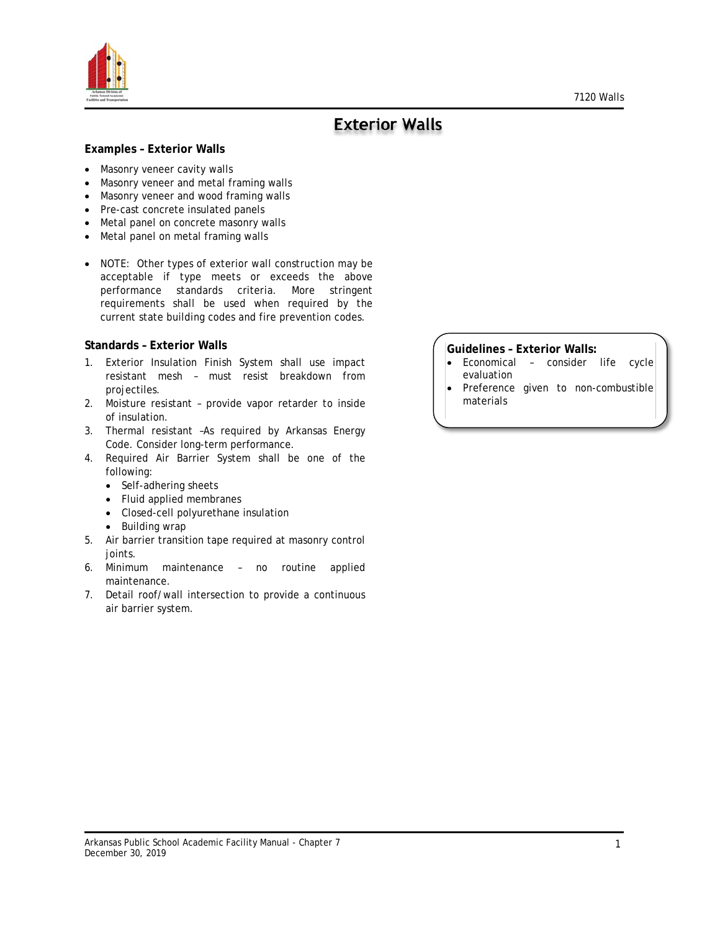

# **Exterior Walls**

#### **Examples – Exterior Walls**

- Masonry veneer cavity walls
- Masonry veneer and metal framing walls
- Masonry veneer and wood framing walls
- Pre-cast concrete insulated panels
- Metal panel on concrete masonry walls
- Metal panel on metal framing walls
- NOTE: Other types of exterior wall construction may be acceptable if type meets or exceeds the above performance standards criteria. More stringent requirements shall be used when required by the current state building codes and fire prevention codes.

#### **Standards – Exterior Walls**

- 1. Exterior Insulation Finish System shall use impact resistant mesh – must resist breakdown from projectiles.
- 2. Moisture resistant provide vapor retarder to inside of insulation.
- 3. Thermal resistant –As required by Arkansas Energy Code. Consider long-term performance.
- 4. Required Air Barrier System shall be one of the following:
	- Self-adhering sheets
	- Fluid applied membranes
	- Closed-cell polyurethane insulation
	- Building wrap
- 5. Air barrier transition tape required at masonry control joints.
- 6. Minimum maintenance no routine applied maintenance.
- 7. Detail roof/wall intersection to provide a continuous air barrier system.

#### **Guidelines – Exterior Walls:**

- Economical consider life cycle evaluation
- Preference given to non-combustible materials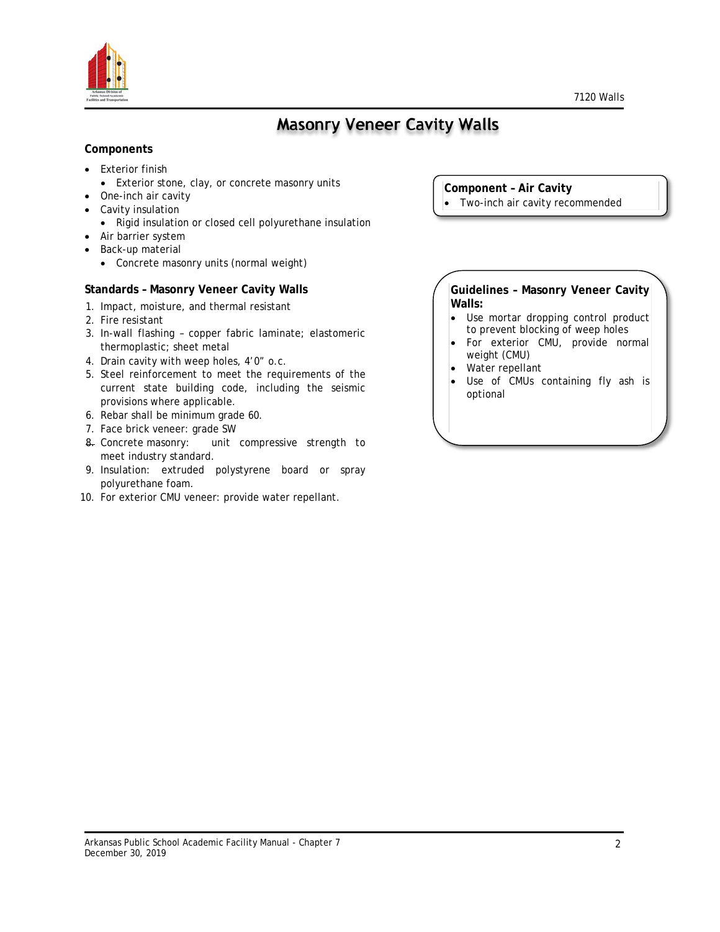



# **Masonry Veneer Cavity Walls**

### **Components**

- Exterior finish
	- Exterior stone, clay, or concrete masonry units
- One-inch air cavity
- Cavity insulation
	- Rigid insulation or closed cell polyurethane insulation
- Air barrier system
- Back-up material
	- Concrete masonry units (normal weight)

#### **Standards – Masonry Veneer Cavity Walls**

- 1. Impact, moisture, and thermal resistant
- 2. Fire resistant
- 3. In-wall flashing copper fabric laminate; elastomeric thermoplastic; sheet metal
- 4. Drain cavity with weep holes, 4'0" o.c.
- 5. Steel reinforcement to meet the requirements of the current state building code, including the seismic provisions where applicable.
- 6. Rebar shall be minimum grade 60.
- 7. Face brick veneer: grade SW
- 8. Concrete masonry: unit compressive strength to meet industry standard.
- 9. Insulation: extruded polystyrene board or spray polyurethane foam.
- 10. For exterior CMU veneer: provide water repellant.
- **Component – Air Cavity**
- Two-inch air cavity recommended

**Guidelines – Masonry Veneer Cavity Walls:**

- Use mortar dropping control product to prevent blocking of weep holes
- For exterior CMU, provide normal weight (CMU)
- Water repellant
- Use of CMUs containing fly ash is optional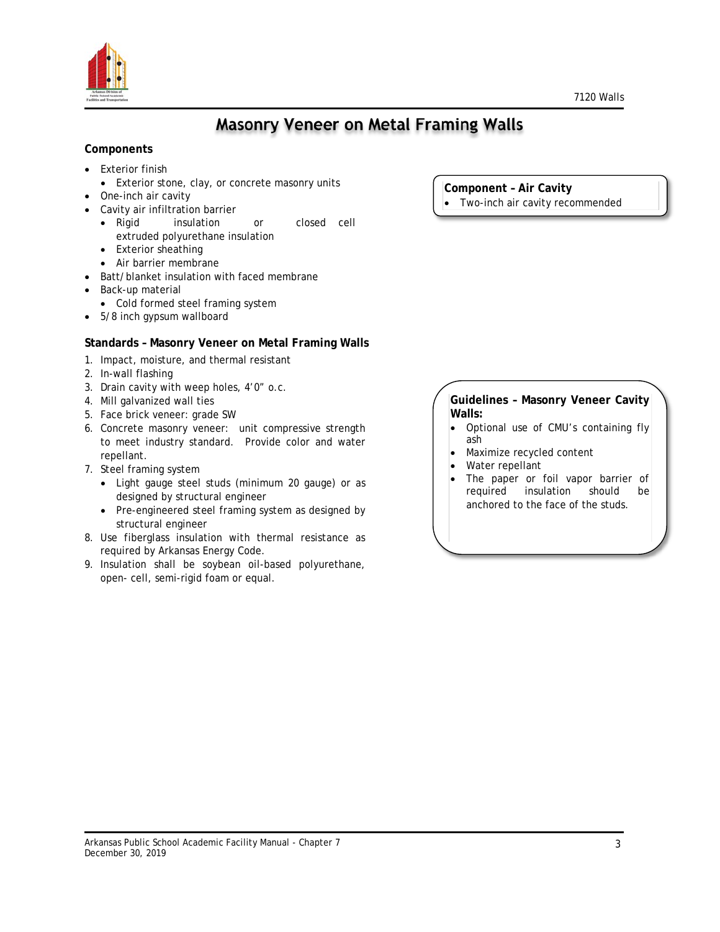



## **Masonry Veneer on Metal Framing Walls**

### **Components**

- Exterior finish
	- Exterior stone, clay, or concrete masonry units
- One-inch air cavity
- Cavity air infiltration barrier
	- Rigid insulation or closed cell extruded polyurethane insulation
	- Exterior sheathing
	- Air barrier membrane
- Batt/blanket insulation with faced membrane
- Back-up material
	- Cold formed steel framing system
- 5/8 inch gypsum wallboard

## **Standards – Masonry Veneer on Metal Framing Walls**

- 1. Impact, moisture, and thermal resistant
- 2. In-wall flashing
- 3. Drain cavity with weep holes, 4'0" o.c.
- 4. Mill galvanized wall ties
- 5. Face brick veneer: grade SW
- 6. Concrete masonry veneer: unit compressive strength to meet industry standard. Provide color and water repellant.
- 7. Steel framing system
	- Light gauge steel studs (minimum 20 gauge) or as designed by structural engineer
	- Pre-engineered steel framing system as designed by structural engineer
- 8. Use fiberglass insulation with thermal resistance as required by Arkansas Energy Code.
- 9. Insulation shall be soybean oil-based polyurethane, open- cell, semi-rigid foam or equal.

**Component – Air Cavity**

Two-inch air cavity recommended

#### **Guidelines – Masonry Veneer Cavity Walls:**

- Optional use of CMU's containing fly ash
- Maximize recycled content
- Water repellant
- The paper or foil vapor barrier of<br>required insulation should be insulation should be anchored to the face of the studs.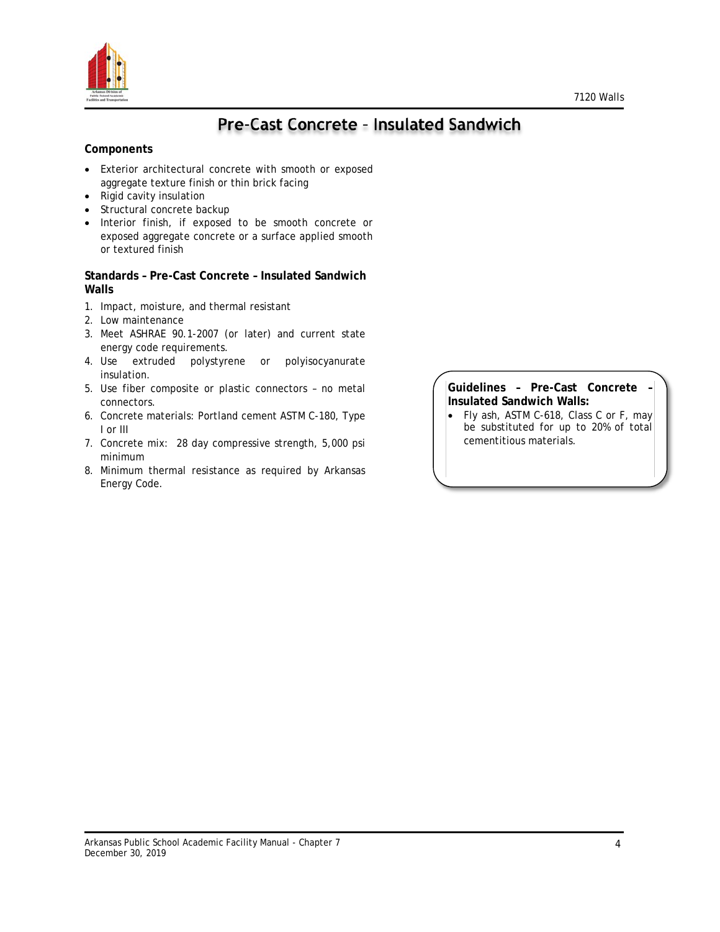

# Pre-Cast Concrete - Insulated Sandwich

### **Components**

- Exterior architectural concrete with smooth or exposed aggregate texture finish or thin brick facing
- Rigid cavity insulation
- Structural concrete backup
- Interior finish, if exposed to be smooth concrete or exposed aggregate concrete or a surface applied smooth or textured finish

#### **Standards – Pre-Cast Concrete – Insulated Sandwich Walls**

- 1. Impact, moisture, and thermal resistant
- 2. Low maintenance
- 3. Meet ASHRAE 90.1-2007 (or later) and current state energy code requirements.
- 4. Use extruded polystyrene or polyisocyanurate insulation.
- 5. Use fiber composite or plastic connectors no metal connectors.
- 6. Concrete materials: Portland cement ASTM C-180, Type I or III
- 7. Concrete mix: 28 day compressive strength, 5,000 psi minimum
- 8. Minimum thermal resistance as required by Arkansas Energy Code.

#### **Guidelines – Pre-Cast Concrete – Insulated Sandwich Walls:**

• Fly ash, ASTM C-618, Class C or F, may be substituted for up to 20% of total cementitious materials.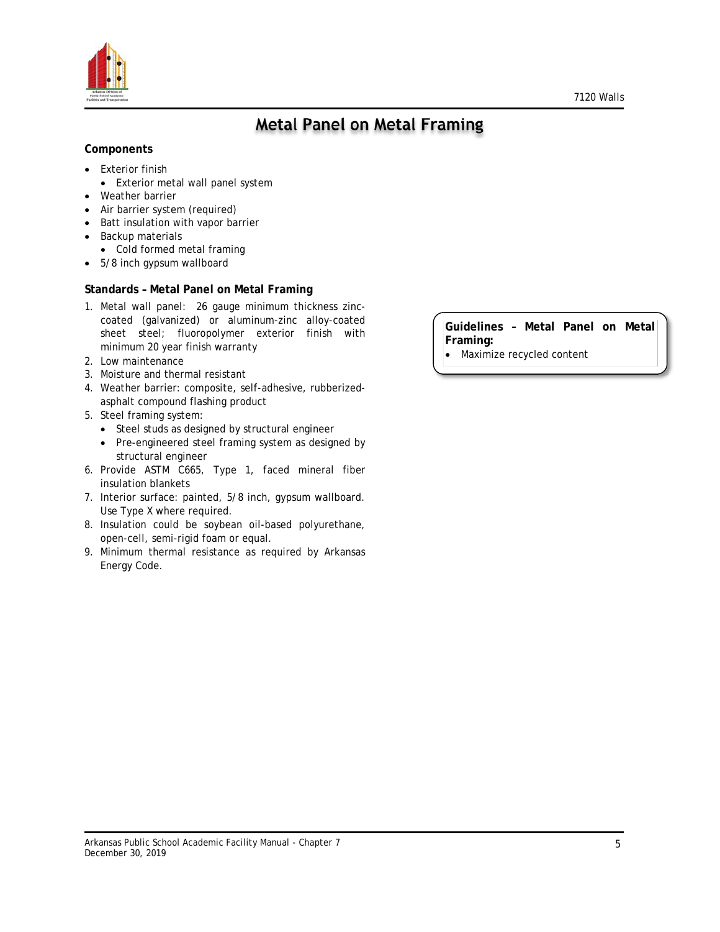



## **Metal Panel on Metal Framing**

#### **Components**

- Exterior finish
	- Exterior metal wall panel system
- Weather barrier
- Air barrier system (required)
- Batt insulation with vapor barrier
- Backup materials
- Cold formed metal framing
- 5/8 inch gypsum wallboard

#### **Standards – Metal Panel on Metal Framing**

- 1. Metal wall panel: 26 gauge minimum thickness zinccoated (galvanized) or aluminum-zinc alloy-coated sheet steel; fluoropolymer exterior finish with minimum 20 year finish warranty
- 2. Low maintenance
- 3. Moisture and thermal resistant
- 4. Weather barrier: composite, self-adhesive, rubberizedasphalt compound flashing product
- 5. Steel framing system:
	- Steel studs as designed by structural engineer
	- Pre-engineered steel framing system as designed by structural engineer
- 6. Provide ASTM C665, Type 1, faced mineral fiber insulation blankets
- 7. Interior surface: painted, 5/8 inch, gypsum wallboard. Use Type X where required.
- 8. Insulation could be soybean oil-based polyurethane, open-cell, semi-rigid foam or equal.
- 9. Minimum thermal resistance as required by Arkansas Energy Code.

**Guidelines – Metal Panel on Metal Framing:**

• Maximize recycled content